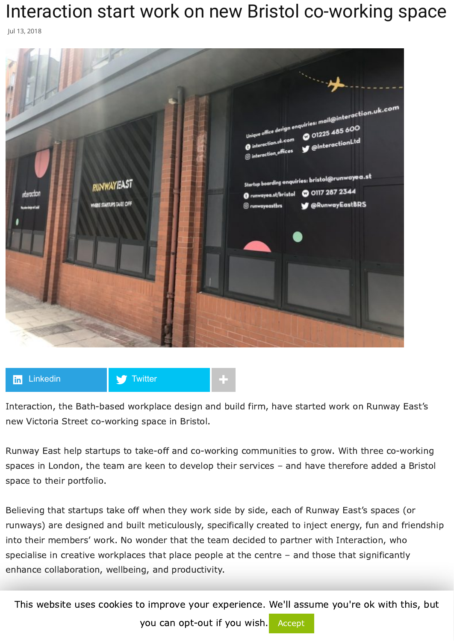## Interaction start work on new Bristol co-working space

Jul 13, 2018



## **lin** [Linkedin](https://www.linkedin.com/shareArticle?trk=Interaction+start+work+on+new+Bristol+co-working+space&url=http%3A%2F%2Fwww.commercialnewsmedia.com%2Farchives%2F76618) **+**  $\bullet$  [Twitter](https://twitter.com/intent/tweet?text=Interaction%20start%20work%20on%20new%20Bristol%20co-working%20space&url=http://www.commercialnewsmedia.com/?p=76618&via=propnews) **+**

Interaction, the Bath-based workplace design and build firm, have started work on Runway East's new Victoria Street co-working space in Bristol.

Runway East help startups to take-off and co-working communities to grow. With three co-working spaces in London, the team are keen to develop their services – and have therefore added a Bristol space to their portfolio.

Believing that startups take off when they work side by side, each of Runway East's spaces (or runways) are designed and built meticulously, specifically created to inject energy, fun and friendship into their members' work. No wonder that the team decided to partner with Interaction, who specialise in creative workplaces that place people at the centre – and those that significantly enhance collaboration, wellbeing, and productivity.

This website uses cookies to improve your experience. We'll assume you're ok with this, but

be working on such an inspiring project in the heart of Bristol. The new serviced offices are in a prime you can ope out it you wish. Accept you can opt-out if you wish. Accept